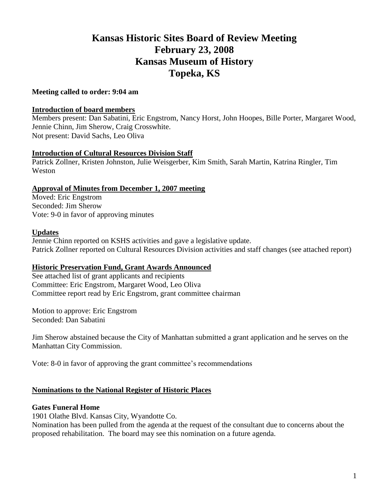# **Kansas Historic Sites Board of Review Meeting February 23, 2008 Kansas Museum of History Topeka, KS**

## **Meeting called to order: 9:04 am**

## **Introduction of board members**

Members present: Dan Sabatini, Eric Engstrom, Nancy Horst, John Hoopes, Bille Porter, Margaret Wood, Jennie Chinn, Jim Sherow, Craig Crosswhite. Not present: David Sachs, Leo Oliva

## **Introduction of Cultural Resources Division Staff**

Patrick Zollner, Kristen Johnston, Julie Weisgerber, Kim Smith, Sarah Martin, Katrina Ringler, Tim Weston

## **Approval of Minutes from December 1, 2007 meeting**

Moved: Eric Engstrom Seconded: Jim Sherow Vote: 9-0 in favor of approving minutes

## **Updates**

Jennie Chinn reported on KSHS activities and gave a legislative update. Patrick Zollner reported on Cultural Resources Division activities and staff changes (see attached report)

## **Historic Preservation Fund, Grant Awards Announced**

See attached list of grant applicants and recipients Committee: Eric Engstrom, Margaret Wood, Leo Oliva Committee report read by Eric Engstrom, grant committee chairman

Motion to approve: Eric Engstrom Seconded: Dan Sabatini

Jim Sherow abstained because the City of Manhattan submitted a grant application and he serves on the Manhattan City Commission.

Vote: 8-0 in favor of approving the grant committee's recommendations

## **Nominations to the National Register of Historic Places**

## **Gates Funeral Home**

1901 Olathe Blvd. Kansas City, Wyandotte Co.

Nomination has been pulled from the agenda at the request of the consultant due to concerns about the proposed rehabilitation. The board may see this nomination on a future agenda.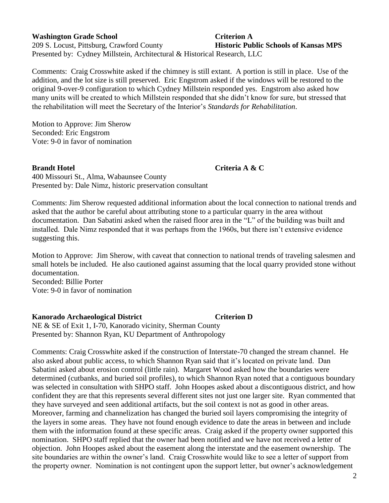## **Washington Grade School Criterion A**

209 S. Locust, Pittsburg, Crawford County **Historic Public Schools of Kansas MPS** Presented by: Cydney Millstein, Architectural & Historical Research, LLC

Comments: Craig Crosswhite asked if the chimney is still extant. A portion is still in place. Use of the addition, and the lot size is still preserved. Eric Engstrom asked if the windows will be restored to the original 9-over-9 configuration to which Cydney Millstein responded yes. Engstrom also asked how many units will be created to which Millstein responded that she didn't know for sure, but stressed that the rehabilitation will meet the Secretary of the Interior's *Standards for Rehabilitation*.

Motion to Approve: Jim Sherow Seconded: Eric Engstrom Vote: 9-0 in favor of nomination

**Brandt Hotel Criteria A & C**

400 Missouri St., Alma, Wabaunsee County Presented by: Dale Nimz, historic preservation consultant

Comments: Jim Sherow requested additional information about the local connection to national trends and asked that the author be careful about attributing stone to a particular quarry in the area without documentation. Dan Sabatini asked when the raised floor area in the "L" of the building was built and installed. Dale Nimz responded that it was perhaps from the 1960s, but there isn't extensive evidence suggesting this.

Motion to Approve: Jim Sherow, with caveat that connection to national trends of traveling salesmen and small hotels be included. He also cautioned against assuming that the local quarry provided stone without documentation.

Seconded: Billie Porter Vote: 9-0 in favor of nomination

## **Kanorado Archaeological District Criterion D**

NE & SE of Exit 1, I-70, Kanorado vicinity, Sherman County Presented by: Shannon Ryan, KU Department of Anthropology

Comments: Craig Crosswhite asked if the construction of Interstate-70 changed the stream channel. He also asked about public access, to which Shannon Ryan said that it's located on private land. Dan Sabatini asked about erosion control (little rain). Margaret Wood asked how the boundaries were determined (cutbanks, and buried soil profiles), to which Shannon Ryan noted that a contiguous boundary was selected in consultation with SHPO staff. John Hoopes asked about a discontiguous district, and how confident they are that this represents several different sites not just one larger site. Ryan commented that they have surveyed and seen additional artifacts, but the soil context is not as good in other areas. Moreover, farming and channelization has changed the buried soil layers compromising the integrity of the layers in some areas. They have not found enough evidence to date the areas in between and include them with the information found at these specific areas. Craig asked if the property owner supported this nomination. SHPO staff replied that the owner had been notified and we have not received a letter of objection. John Hoopes asked about the easement along the interstate and the easement ownership. The site boundaries are within the owner's land. Craig Crosswhite would like to see a letter of support from the property owner. Nomination is not contingent upon the support letter, but owner's acknowledgement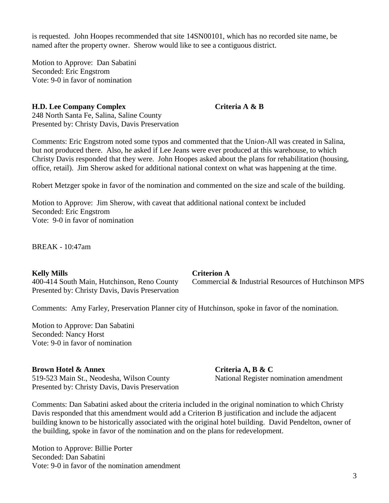is requested. John Hoopes recommended that site 14SN00101, which has no recorded site name, be named after the property owner. Sherow would like to see a contiguous district.

Motion to Approve: Dan Sabatini Seconded: Eric Engstrom Vote: 9-0 in favor of nomination

#### **H.D. Lee Company Complex Criteria A & B**

248 North Santa Fe, Salina, Saline County Presented by: Christy Davis, Davis Preservation

Comments: Eric Engstrom noted some typos and commented that the Union-All was created in Salina, but not produced there. Also, he asked if Lee Jeans were ever produced at this warehouse, to which Christy Davis responded that they were. John Hoopes asked about the plans for rehabilitation (housing, office, retail). Jim Sherow asked for additional national context on what was happening at the time.

Robert Metzger spoke in favor of the nomination and commented on the size and scale of the building.

Motion to Approve: Jim Sherow, with caveat that additional national context be included Seconded: Eric Engstrom Vote: 9-0 in favor of nomination

BREAK - 10:47am

**Kelly Mills Criterion A** Presented by: Christy Davis, Davis Preservation

400-414 South Main, Hutchinson, Reno County Commercial & Industrial Resources of Hutchinson MPS

Comments: Amy Farley, Preservation Planner city of Hutchinson, spoke in favor of the nomination.

Motion to Approve: Dan Sabatini Seconded: Nancy Horst Vote: 9-0 in favor of nomination

#### **Brown Hotel & Annex Criteria A, B & C**

519-523 Main St., Neodesha, Wilson County National Register nomination amendment Presented by: Christy Davis, Davis Preservation

Comments: Dan Sabatini asked about the criteria included in the original nomination to which Christy Davis responded that this amendment would add a Criterion B justification and include the adjacent building known to be historically associated with the original hotel building. David Pendelton, owner of the building, spoke in favor of the nomination and on the plans for redevelopment.

Motion to Approve: Billie Porter Seconded: Dan Sabatini Vote: 9-0 in favor of the nomination amendment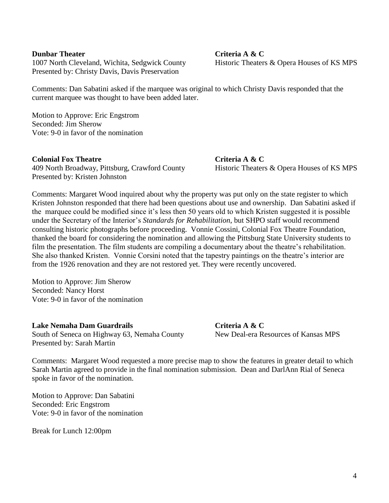#### **Dunbar Theater Criteria A & C**

1007 North Cleveland, Wichita, Sedgwick County Historic Theaters & Opera Houses of KS MPS Presented by: Christy Davis, Davis Preservation

Comments: Dan Sabatini asked if the marquee was original to which Christy Davis responded that the current marquee was thought to have been added later.

Motion to Approve: Eric Engstrom Seconded: Jim Sherow Vote: 9-0 in favor of the nomination

#### **Colonial Fox Theatre Criteria A & C**

409 North Broadway, Pittsburg, Crawford County Historic Theaters & Opera Houses of KS MPS Presented by: Kristen Johnston

Comments: Margaret Wood inquired about why the property was put only on the state register to which Kristen Johnston responded that there had been questions about use and ownership. Dan Sabatini asked if the marquee could be modified since it's less then 50 years old to which Kristen suggested it is possible under the Secretary of the Interior's *Standards for Rehabilitation*, but SHPO staff would recommend consulting historic photographs before proceeding. Vonnie Cossini, Colonial Fox Theatre Foundation, thanked the board for considering the nomination and allowing the Pittsburg State University students to film the presentation. The film students are compiling a documentary about the theatre's rehabilitation. She also thanked Kristen. Vonnie Corsini noted that the tapestry paintings on the theatre's interior are from the 1926 renovation and they are not restored yet. They were recently uncovered.

Motion to Approve: Jim Sherow Seconded: Nancy Horst Vote: 9-0 in favor of the nomination

**Lake Nemaha Dam Guardrails Criteria A & C** South of Seneca on Highway 63, Nemaha County New Deal-era Resources of Kansas MPS Presented by: Sarah Martin

Comments: Margaret Wood requested a more precise map to show the features in greater detail to which Sarah Martin agreed to provide in the final nomination submission. Dean and DarlAnn Rial of Seneca spoke in favor of the nomination.

Motion to Approve: Dan Sabatini Seconded: Eric Engstrom Vote: 9-0 in favor of the nomination

Break for Lunch 12:00pm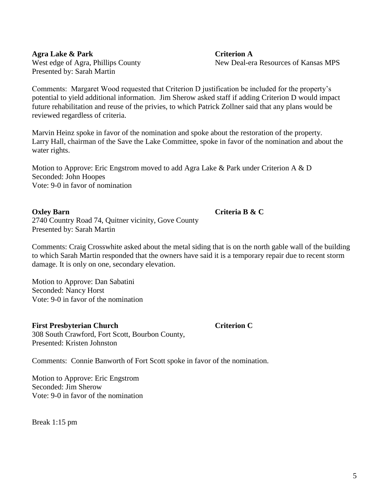**Agra Lake & Park Criterion A** Presented by: Sarah Martin

West edge of Agra, Phillips County New Deal-era Resources of Kansas MPS

Comments: Margaret Wood requested that Criterion D justification be included for the property's potential to yield additional information. Jim Sherow asked staff if adding Criterion D would impact future rehabilitation and reuse of the privies, to which Patrick Zollner said that any plans would be reviewed regardless of criteria.

Marvin Heinz spoke in favor of the nomination and spoke about the restoration of the property. Larry Hall, chairman of the Save the Lake Committee, spoke in favor of the nomination and about the water rights.

Motion to Approve: Eric Engstrom moved to add Agra Lake & Park under Criterion A & D Seconded: John Hoopes Vote: 9-0 in favor of nomination

#### **Oxley Barn Criteria B & C**

2740 Country Road 74, Quitner vicinity, Gove County Presented by: Sarah Martin

Comments: Craig Crosswhite asked about the metal siding that is on the north gable wall of the building to which Sarah Martin responded that the owners have said it is a temporary repair due to recent storm damage. It is only on one, secondary elevation.

Motion to Approve: Dan Sabatini Seconded: Nancy Horst Vote: 9-0 in favor of the nomination

## **First Presbyterian Church Criterion C**

308 South Crawford, Fort Scott, Bourbon County, Presented: Kristen Johnston

Comments: Connie Banworth of Fort Scott spoke in favor of the nomination.

Motion to Approve: Eric Engstrom Seconded: Jim Sherow Vote: 9-0 in favor of the nomination

Break 1:15 pm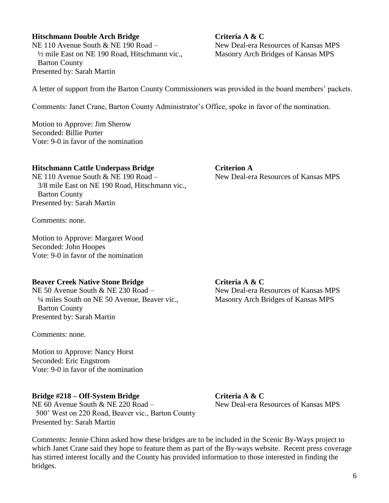## **Hitschmann Double Arch Bridge Criteria A & C** NE 110 Avenue South & NE 190 Road – New Deal-era Resources of Kansas MPS <sup>1/2</sup> mile East on NE 190 Road, Hitschmann vic., Masonry Arch Bridges of Kansas MPS Barton County Presented by: Sarah Martin

A letter of support from the Barton County Commissioners was provided in the board members' packets.

Comments: Janet Crane, Barton County Administrator's Office, spoke in favor of the nomination.

Motion to Approve: Jim Sherow Seconded: Billie Porter Vote: 9-0 in favor of the nomination

## **Hitschmann Cattle Underpass Bridge Criterion A**

NE 110 Avenue South & NE 190 Road – New Deal-era Resources of Kansas MPS 3/8 mile East on NE 190 Road, Hitschmann vic., Barton County Presented by: Sarah Martin

Comments: none.

Motion to Approve: Margaret Wood Seconded: John Hoopes Vote: 9-0 in favor of the nomination

## **Beaver Creek Native Stone Bridge Criteria A & C**

NE 50 Avenue South & NE 230 Road – New Deal-era Resources of Kansas MPS <sup>1</sup>/4 miles South on NE 50 Avenue, Beaver vic., Masonry Arch Bridges of Kansas MPS Barton County Presented by: Sarah Martin

Comments: none.

Motion to Approve: Nancy Horst Seconded: Eric Engstrom Vote: 9-0 in favor of the nomination

## **Bridge #218 – Off-System Bridge Criteria A & C**

NE 60 Avenue South & NE 220 Road – New Deal-era Resources of Kansas MPS 500' West on 220 Road, Beaver vic., Barton County Presented by: Sarah Martin

Comments: Jennie Chinn asked how these bridges are to be included in the Scenic By-Ways project to which Janet Crane said they hope to feature them as part of the By-ways website. Recent press coverage has stirred interest locally and the County has provided information to those interested in finding the bridges.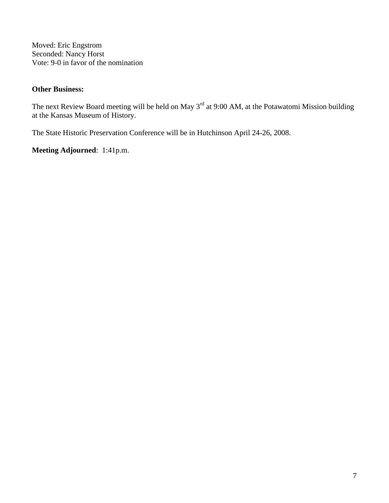Moved: Eric Engstrom Seconded: Nancy Horst Vote: 9-0 in favor of the nomination

## **Other Business:**

The next Review Board meeting will be held on May 3<sup>rd</sup> at 9:00 AM, at the Potawatomi Mission building at the Kansas Museum of History.

The State Historic Preservation Conference will be in Hutchinson April 24-26, 2008.

**Meeting Adjourned**: 1:41p.m.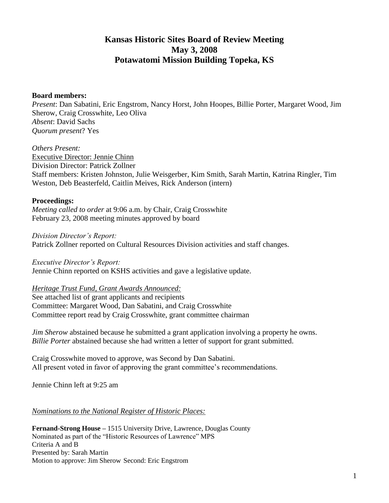# **Kansas Historic Sites Board of Review Meeting May 3, 2008 Potawatomi Mission Building Topeka, KS**

#### **Board members:**

*Present*: Dan Sabatini, Eric Engstrom, Nancy Horst, John Hoopes, Billie Porter, Margaret Wood, Jim Sherow, Craig Crosswhite, Leo Oliva *Absent*: David Sachs *Quorum present*? Yes

#### *Others Present:*

Executive Director: Jennie Chinn Division Director: Patrick Zollner Staff members: Kristen Johnston, Julie Weisgerber, Kim Smith, Sarah Martin, Katrina Ringler, Tim Weston, Deb Beasterfeld, Caitlin Meives, Rick Anderson (intern)

## **Proceedings:**

*Meeting called to order* at 9:06 a.m. by Chair, Craig Crosswhite February 23, 2008 meeting minutes approved by board

*Division Director's Report:*

Patrick Zollner reported on Cultural Resources Division activities and staff changes.

*Executive Director's Report:*

Jennie Chinn reported on KSHS activities and gave a legislative update.

## *Heritage Trust Fund, Grant Awards Announced:*

See attached list of grant applicants and recipients Committee: Margaret Wood, Dan Sabatini, and Craig Crosswhite Committee report read by Craig Crosswhite, grant committee chairman

*Jim Sherow* abstained because he submitted a grant application involving a property he owns. *Billie Porter* abstained because she had written a letter of support for grant submitted.

Craig Crosswhite moved to approve, was Second by Dan Sabatini. All present voted in favor of approving the grant committee's recommendations.

Jennie Chinn left at 9:25 am

## *Nominations to the National Register of Historic Places:*

**Fernand-Strong House** *–* 1515 University Drive, Lawrence, Douglas County Nominated as part of the "Historic Resources of Lawrence" MPS Criteria A and B Presented by: Sarah Martin Motion to approve: Jim Sherow Second: Eric Engstrom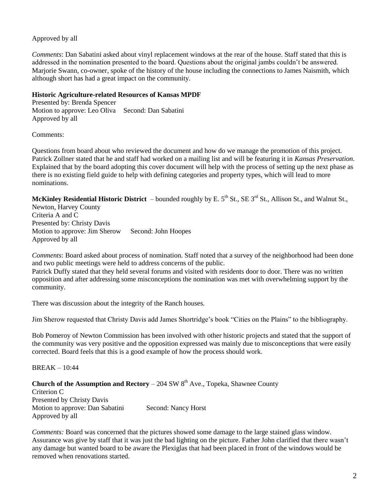## Approved by all

*Comments*: Dan Sabatini asked about vinyl replacement windows at the rear of the house. Staff stated that this is addressed in the nomination presented to the board. Questions about the original jambs couldn't be answered. Marjorie Swann, co-owner, spoke of the history of the house including the connections to James Naismith, which although short has had a great impact on the community.

#### **Historic Agriculture-related Resources of Kansas MPDF**

Presented by: Brenda Spencer Motion to approve: Leo Oliva Second: Dan Sabatini Approved by all

Comments:

Questions from board about who reviewed the document and how do we manage the promotion of this project. Patrick Zollner stated that he and staff had worked on a mailing list and will be featuring it in *Kansas Preservation*. Explained that by the board adopting this cover document will help with the process of setting up the next phase as there is no existing field guide to help with defining categories and property types, which will lead to more nominations.

**McKinley Residential Historic District** – bounded roughly by E. 5<sup>th</sup> St., SE 3<sup>rd</sup> St., Allison St., and Walnut St.,

Newton, Harvey County Criteria A and C Presented by: Christy Davis Motion to approve: Jim Sherow Second: John Hoopes Approved by all

*Comments*: Board asked about process of nomination. Staff noted that a survey of the neighborhood had been done and two public meetings were held to address concerns of the public.

Patrick Duffy stated that they held several forums and visited with residents door to door. There was no written opposition and after addressing some misconceptions the nomination was met with overwhelming support by the community.

There was discussion about the integrity of the Ranch houses.

Jim Sherow requested that Christy Davis add James Shortridge's book "Cities on the Plains" to the bibliography.

Bob Pomeroy of Newton Commission has been involved with other historic projects and stated that the support of the community was very positive and the opposition expressed was mainly due to misconceptions that were easily corrected. Board feels that this is a good example of how the process should work.

BREAK – 10:44

**Church of the Assumption and Rectory** – 204 SW  $8<sup>th</sup>$  Ave., Topeka, Shawnee County Criterion C Presented by Christy Davis Motion to approve: Dan Sabatini Second: Nancy Horst Approved by all

*Comments:* Board was concerned that the pictures showed some damage to the large stained glass window. Assurance was give by staff that it was just the bad lighting on the picture. Father John clarified that there wasn't any damage but wanted board to be aware the Plexiglas that had been placed in front of the windows would be removed when renovations started.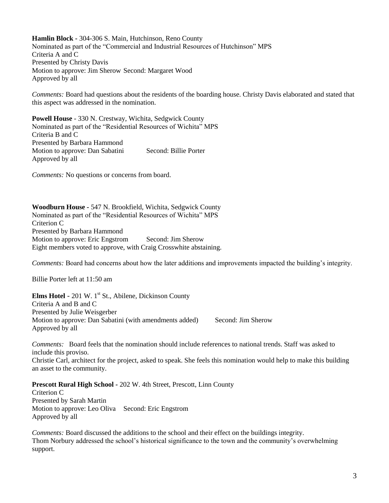**Hamlin Block** *-* 304-306 S. Main, Hutchinson, Reno County Nominated as part of the "Commercial and Industrial Resources of Hutchinson" MPS Criteria A and C Presented by Christy Davis Motion to approve: Jim Sherow Second: Margaret Wood Approved by all

*Comments:* Board had questions about the residents of the boarding house. Christy Davis elaborated and stated that this aspect was addressed in the nomination.

**Powell House** - 330 N. Crestway, Wichita, Sedgwick County Nominated as part of the "Residential Resources of Wichita" MPS Criteria B and C Presented by Barbara Hammond Motion to approve: Dan Sabatini Second: Billie Porter Approved by all

*Comments:* No questions or concerns from board.

**Woodburn House** *-* 547 N. Brookfield, Wichita, Sedgwick County Nominated as part of the "Residential Resources of Wichita" MPS Criterion C Presented by Barbara Hammond Motion to approve: Eric Engstrom Second: Jim Sherow Eight members voted to approve, with Craig Crosswhite abstaining.

*Comments:* Board had concerns about how the later additions and improvements impacted the building's integrity.

Billie Porter left at 11:50 am

**Elms Hotel** - 201 W. 1<sup>st</sup> St., Abilene, Dickinson County Criteria A and B and C Presented by Julie Weisgerber Motion to approve: Dan Sabatini (with amendments added) Second: Jim Sherow Approved by all

*Comments:* Board feels that the nomination should include references to national trends. Staff was asked to include this proviso.

Christie Carl, architect for the project, asked to speak. She feels this nomination would help to make this building an asset to the community.

**Prescott Rural High School** *-* 202 W. 4th Street, Prescott, Linn County

Criterion C Presented by Sarah Martin Motion to approve: Leo Oliva Second: Eric Engstrom Approved by all

*Comments:* Board discussed the additions to the school and their effect on the buildings integrity. Thom Norbury addressed the school's historical significance to the town and the community's overwhelming support.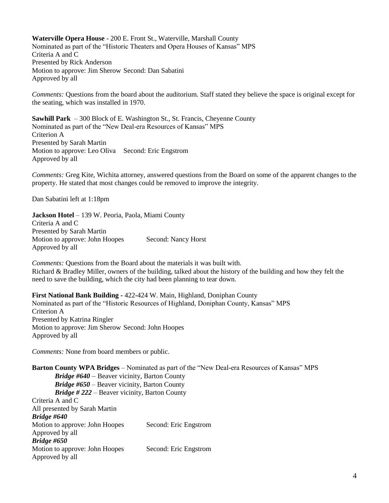**Waterville Opera House** - 200 E. Front St., Waterville, Marshall County Nominated as part of the "Historic Theaters and Opera Houses of Kansas" MPS Criteria A and C Presented by Rick Anderson Motion to approve: Jim Sherow Second: Dan Sabatini Approved by all

*Comments:* Questions from the board about the auditorium. Staff stated they believe the space is original except for the seating, which was installed in 1970.

**Sawhill Park** – 300 Block of E. Washington St., St. Francis, Cheyenne County Nominated as part of the "New Deal-era Resources of Kansas" MPS Criterion A Presented by Sarah Martin Motion to approve: Leo Oliva Second: Eric Engstrom Approved by all

*Comments:* Greg Kite, Wichita attorney, answered questions from the Board on some of the apparent changes to the property. He stated that most changes could be removed to improve the integrity.

Dan Sabatini left at 1:18pm

**Jackson Hotel** – 139 W. Peoria, Paola, Miami County Criteria A and C Presented by Sarah Martin Motion to approve: John Hoopes Second: Nancy Horst Approved by all

*Comments:* Questions from the Board about the materials it was built with. Richard & Bradley Miller, owners of the building, talked about the history of the building and how they felt the need to save the building, which the city had been planning to tear down.

**First National Bank Building** *-* 422-424 W. Main, Highland, Doniphan County Nominated as part of the "Historic Resources of Highland, Doniphan County, Kansas" MPS Criterion A Presented by Katrina Ringler Motion to approve: Jim Sherow Second: John Hoopes Approved by all

*Comments:* None from board members or public.

**Barton County WPA Bridges** – Nominated as part of the "New Deal-era Resources of Kansas" MPS *Bridge #640* – Beaver vicinity, Barton County *Bridge #650* – Beaver vicinity, Barton County *Bridge # 222* – Beaver vicinity, Barton County Criteria A and C All presented by Sarah Martin *Bridge #640* Motion to approve: John Hoopes Second: Eric Engstrom Approved by all *Bridge #650* Motion to approve: John Hoopes Second: Eric Engstrom Approved by all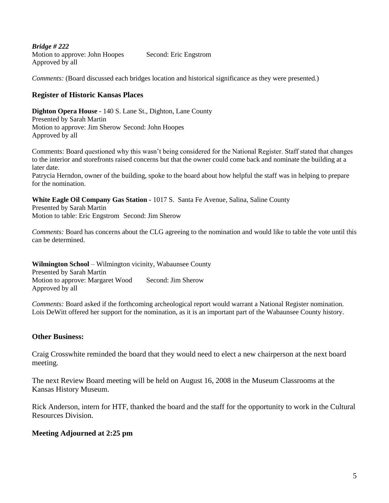*Bridge # 222* Motion to approve: John Hoopes Second: Eric Engstrom Approved by all

*Comments:* (Board discussed each bridges location and historical significance as they were presented.)

## **Register of Historic Kansas Places**

**Dighton Opera House** - 140 S. Lane St., Dighton, Lane County Presented by Sarah Martin Motion to approve: Jim Sherow Second: John Hoopes Approved by all

Comments: Board questioned why this wasn't being considered for the National Register. Staff stated that changes to the interior and storefronts raised concerns but that the owner could come back and nominate the building at a later date.

Patrycia Herndon, owner of the building, spoke to the board about how helpful the staff was in helping to prepare for the nomination.

**White Eagle Oil Company Gas Station** *-* 1017 S. Santa Fe Avenue, Salina, Saline County

Presented by Sarah Martin Motion to table: Eric Engstrom Second: Jim Sherow

*Comments:* Board has concerns about the CLG agreeing to the nomination and would like to table the vote until this can be determined.

**Wilmington School** – Wilmington vicinity, Wabaunsee County Presented by Sarah Martin Motion to approve: Margaret Wood Second: Jim Sherow Approved by all

*Comments:* Board asked if the forthcoming archeological report would warrant a National Register nomination. Lois DeWitt offered her support for the nomination, as it is an important part of the Wabaunsee County history.

## **Other Business:**

Craig Crosswhite reminded the board that they would need to elect a new chairperson at the next board meeting.

The next Review Board meeting will be held on August 16, 2008 in the Museum Classrooms at the Kansas History Museum.

Rick Anderson, intern for HTF, thanked the board and the staff for the opportunity to work in the Cultural Resources Division.

## **Meeting Adjourned at 2:25 pm**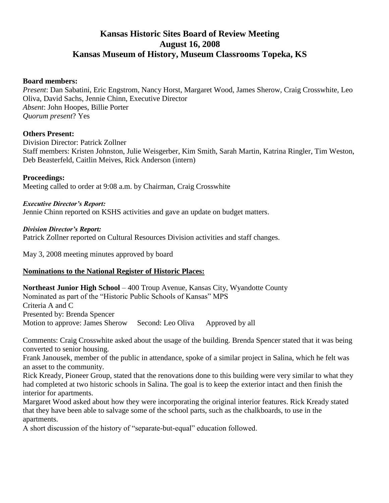# **Kansas Historic Sites Board of Review Meeting August 16, 2008 Kansas Museum of History, Museum Classrooms Topeka, KS**

## **Board members:**

*Present*: Dan Sabatini, Eric Engstrom, Nancy Horst, Margaret Wood, James Sherow, Craig Crosswhite, Leo Oliva, David Sachs, Jennie Chinn, Executive Director *Absent*: John Hoopes, Billie Porter *Quorum present*? Yes

## **Others Present:**

Division Director: Patrick Zollner Staff members: Kristen Johnston, Julie Weisgerber, Kim Smith, Sarah Martin, Katrina Ringler, Tim Weston, Deb Beasterfeld, Caitlin Meives, Rick Anderson (intern)

## **Proceedings:**

Meeting called to order at 9:08 a.m. by Chairman, Craig Crosswhite

*Executive Director's Report:* Jennie Chinn reported on KSHS activities and gave an update on budget matters.

## *Division Director's Report:*

Patrick Zollner reported on Cultural Resources Division activities and staff changes.

May 3, 2008 meeting minutes approved by board

## **Nominations to the National Register of Historic Places:**

**Northeast Junior High School** – 400 Troup Avenue, Kansas City, Wyandotte County Nominated as part of the "Historic Public Schools of Kansas" MPS Criteria A and C Presented by: Brenda Spencer Motion to approve: James Sherow Second: Leo Oliva Approved by all

Comments: Craig Crosswhite asked about the usage of the building. Brenda Spencer stated that it was being converted to senior housing.

Frank Janousek, member of the public in attendance, spoke of a similar project in Salina, which he felt was an asset to the community.

Rick Kready, Pioneer Group, stated that the renovations done to this building were very similar to what they had completed at two historic schools in Salina. The goal is to keep the exterior intact and then finish the interior for apartments.

Margaret Wood asked about how they were incorporating the original interior features. Rick Kready stated that they have been able to salvage some of the school parts, such as the chalkboards, to use in the apartments.

A short discussion of the history of "separate-but-equal" education followed.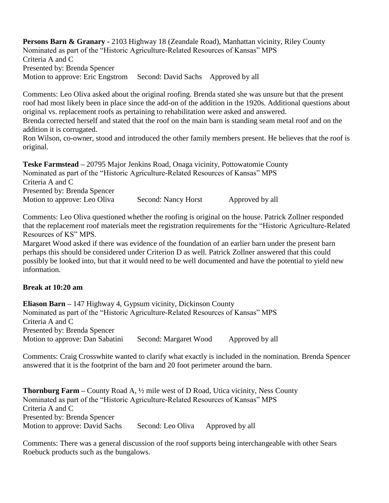**Persons Barn & Granary** *-* 2103 Highway 18 (Zeandale Road), Manhattan vicinity, Riley County Nominated as part of the "Historic Agriculture-Related Resources of Kansas" MPS Criteria A and C Presented by: Brenda Spencer Motion to approve: Eric Engstrom Second: David Sachs Approved by all

Comments: Leo Oliva asked about the original roofing. Brenda stated she was unsure but that the present roof had most likely been in place since the add-on of the addition in the 1920s. Additional questions about original vs. replacement roofs as pertaining to rehabilitation were asked and answered.

Brenda corrected herself and stated that the roof on the main barn is standing seam metal roof and on the addition it is corrugated.

Ron Wilson, co-owner, stood and introduced the other family members present. He believes that the roof is original.

**Teske Farmstead** *–* 20795 Major Jenkins Road, Onaga vicinity, Pottowatomie County Nominated as part of the "Historic Agriculture-Related Resources of Kansas" MPS Criteria A and C Presented by: Brenda Spencer Motion to approve: Leo Oliva Second: Nancy Horst Approved by all

Comments: Leo Oliva questioned whether the roofing is original on the house. Patrick Zollner responded that the replacement roof materials meet the registration requirements for the "Historic Agriculture-Related Resources of KS" MPS.

Margaret Wood asked if there was evidence of the foundation of an earlier barn under the present barn perhaps this should be considered under Criterion D as well. Patrick Zollner answered that this could possibly be looked into, but that it would need to be well documented and have the potential to yield new information.

## **Break at 10:20 am**

**Eliason Barn –** 147 Highway 4, Gypsum vicinity, Dickinson County Nominated as part of the "Historic Agriculture-Related Resources of Kansas" MPS Criteria A and C Presented by: Brenda Spencer Motion to approve: Dan Sabatini Second: Margaret Wood Approved by all

Comments: Craig Crosswhite wanted to clarify what exactly is included in the nomination. Brenda Spencer answered that it is the footprint of the barn and 20 foot perimeter around the barn.

**Thornburg Farm –** County Road A, ½ mile west of D Road, Utica vicinity, Ness County Nominated as part of the "Historic Agriculture-Related Resources of Kansas" MPS Criteria A and C Presented by: Brenda Spencer Motion to approve: David Sachs Second: Leo Oliva Approved by all

Comments: There was a general discussion of the roof supports being interchangeable with other Sears Roebuck products such as the bungalows.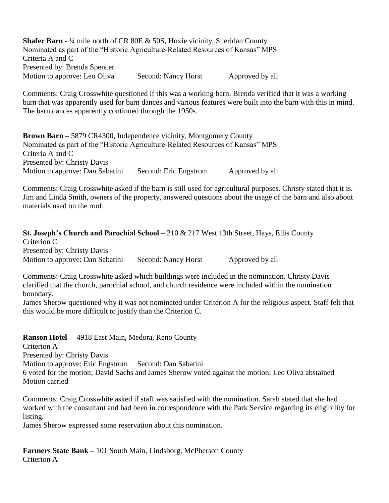**Shafer Barn** - ¼ mile north of CR 80E & 50S, Hoxie vicinity, Sheridan County Nominated as part of the "Historic Agriculture-Related Resources of Kansas" MPS Criteria A and C Presented by: Brenda Spencer Motion to approve: Leo Oliva Second: Nancy Horst Approved by all

Comments: Craig Crosswhite questioned if this was a working barn. Brenda verified that it was a working barn that was apparently used for barn dances and various features were built into the barn with this in mind. The barn dances apparently continued through the 1950s.

**Brown Barn –** 5879 CR4300, Independence vicinity, Montgomery County Nominated as part of the "Historic Agriculture-Related Resources of Kansas" MPS Criteria A and C Presented by: Christy Davis Motion to approve: Dan Sabatini Second: Eric Engstrom Approved by all

Comments: Craig Crosswhite asked if the barn is still used for agricultural purposes. Christy stated that it is. Jim and Linda Smith, owners of the property, answered questions about the usage of the barn and also about materials used on the roof.

**St. Joseph's Church and Parochial School** – 210 & 217 West 13th Street, Hays, Ellis County Criterion C Presented by: Christy Davis Motion to approve: Dan Sabatini Second: Nancy Horst Approved by all

Comments: Craig Crosswhite asked which buildings were included in the nomination. Christy Davis clarified that the church, parochial school, and church residence were included within the nomination boundary.

James Sherow questioned why it was not nominated under Criterion A for the religious aspect. Staff felt that this would be more difficult to justify than the Criterion C.

**Ranson Hotel** – 4918 East Main, Medora, Reno County Criterion A Presented by: Christy Davis Motion to approve: Eric Engstrom Second: Dan Sabatini 6 voted for the motion; David Sachs and James Sherow voted against the motion; Leo Oliva abstained Motion carried

Comments: Craig Crosswhite asked if staff was satisfied with the nomination. Sarah stated that she had worked with the consultant and had been in correspondence with the Park Service regarding its eligibility for listing.

James Sherow expressed some reservation about this nomination.

**Farmers State Bank –** 101 South Main, Lindsborg, McPherson County Criterion A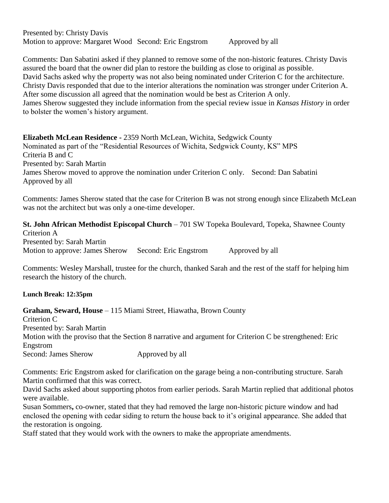Presented by: Christy Davis Motion to approve: Margaret Wood Second: Eric Engstrom Approved by all

Comments: Dan Sabatini asked if they planned to remove some of the non-historic features. Christy Davis assured the board that the owner did plan to restore the building as close to original as possible. David Sachs asked why the property was not also being nominated under Criterion C for the architecture. Christy Davis responded that due to the interior alterations the nomination was stronger under Criterion A. After some discussion all agreed that the nomination would be best as Criterion A only. James Sherow suggested they include information from the special review issue in *Kansas History* in order to bolster the women's history argument.

**Elizabeth McLean Residence -** 2359 North McLean, Wichita, Sedgwick County Nominated as part of the "Residential Resources of Wichita, Sedgwick County, KS" MPS Criteria B and C Presented by: Sarah Martin James Sherow moved to approve the nomination under Criterion C only. Second: Dan Sabatini Approved by all

Comments: James Sherow stated that the case for Criterion B was not strong enough since Elizabeth McLean was not the architect but was only a one-time developer.

**St. John African Methodist Episcopal Church – 701 SW Topeka Boulevard, Topeka, Shawnee County** Criterion A Presented by: Sarah Martin Motion to approve: James Sherow Second: Eric Engstrom Approved by all

Comments: Wesley Marshall, trustee for the church, thanked Sarah and the rest of the staff for helping him research the history of the church.

## **Lunch Break: 12:35pm**

**Graham, Seward, House** – 115 Miami Street, Hiawatha, Brown County

Criterion C Presented by: Sarah Martin Motion with the proviso that the Section 8 narrative and argument for Criterion C be strengthened: Eric Engstrom Second: James Sherow Approved by all

Comments: Eric Engstrom asked for clarification on the garage being a non-contributing structure. Sarah Martin confirmed that this was correct.

David Sachs asked about supporting photos from earlier periods. Sarah Martin replied that additional photos were available.

Susan Sommers**,** co-owner, stated that they had removed the large non-historic picture window and had enclosed the opening with cedar siding to return the house back to it's original appearance. She added that the restoration is ongoing.

Staff stated that they would work with the owners to make the appropriate amendments.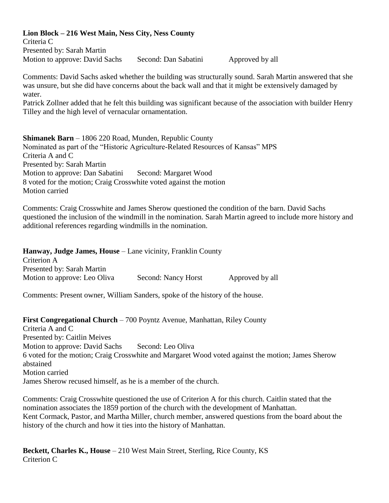## **Lion Block – 216 West Main, Ness City, Ness County**

Criteria C Presented by: Sarah Martin Motion to approve: David Sachs Second: Dan Sabatini Approved by all

Comments: David Sachs asked whether the building was structurally sound. Sarah Martin answered that she was unsure, but she did have concerns about the back wall and that it might be extensively damaged by water.

Patrick Zollner added that he felt this building was significant because of the association with builder Henry Tilley and the high level of vernacular ornamentation.

**Shimanek Barn** – 1806 220 Road, Munden, Republic County Nominated as part of the "Historic Agriculture-Related Resources of Kansas" MPS Criteria A and C Presented by: Sarah Martin Motion to approve: Dan Sabatini Second: Margaret Wood 8 voted for the motion; Craig Crosswhite voted against the motion Motion carried

Comments: Craig Crosswhite and James Sherow questioned the condition of the barn. David Sachs questioned the inclusion of the windmill in the nomination. Sarah Martin agreed to include more history and additional references regarding windmills in the nomination.

**Hanway, Judge James, House** – Lane vicinity, Franklin County Criterion A Presented by: Sarah Martin Motion to approve: Leo Oliva Second: Nancy Horst Approved by all

Comments: Present owner, William Sanders, spoke of the history of the house.

**First Congregational Church** – 700 Poyntz Avenue, Manhattan, Riley County Criteria A and C Presented by: Caitlin Meives Motion to approve: David Sachs Second: Leo Oliva 6 voted for the motion; Craig Crosswhite and Margaret Wood voted against the motion; James Sherow abstained Motion carried James Sherow recused himself, as he is a member of the church.

Comments: Craig Crosswhite questioned the use of Criterion A for this church. Caitlin stated that the nomination associates the 1859 portion of the church with the development of Manhattan. Kent Cormack, Pastor, and Martha Miller, church member, answered questions from the board about the history of the church and how it ties into the history of Manhattan.

**Beckett, Charles K., House** – 210 West Main Street, Sterling, Rice County, KS Criterion C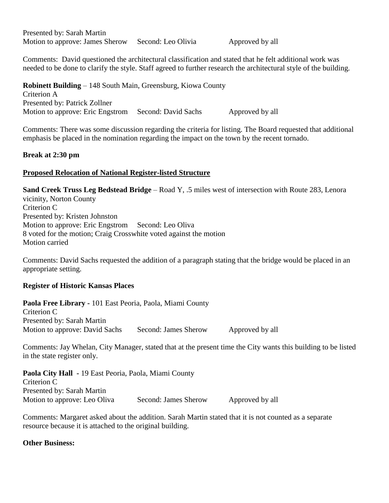Presented by: Sarah Martin Motion to approve: James Sherow Second: Leo Olivia Approved by all

Comments: David questioned the architectural classification and stated that he felt additional work was needed to be done to clarify the style. Staff agreed to further research the architectural style of the building.

**Robinett Building** – 148 South Main, Greensburg, Kiowa County Criterion A Presented by: Patrick Zollner Motion to approve: Eric Engstrom Second: David Sachs Approved by all

Comments: There was some discussion regarding the criteria for listing. The Board requested that additional emphasis be placed in the nomination regarding the impact on the town by the recent tornado.

## **Break at 2:30 pm**

## **Proposed Relocation of National Register-listed Structure**

**Sand Creek Truss Leg Bedstead Bridge** – Road Y, .5 miles west of intersection with Route 283, Lenora vicinity, Norton County Criterion C Presented by: Kristen Johnston Motion to approve: Eric Engstrom Second: Leo Oliva 8 voted for the motion; Craig Crosswhite voted against the motion Motion carried

Comments: David Sachs requested the addition of a paragraph stating that the bridge would be placed in an appropriate setting.

## **Register of Historic Kansas Places**

**Paola Free Library -** 101 East Peoria, Paola, Miami County Criterion C Presented by: Sarah Martin Motion to approve: David Sachs Second: James Sherow Approved by all

Comments: Jay Whelan, City Manager, stated that at the present time the City wants this building to be listed in the state register only.

**Paola City Hall -** 19 East Peoria, Paola, Miami County Criterion C Presented by: Sarah Martin Motion to approve: Leo Oliva Second: James Sherow Approved by all

Comments: Margaret asked about the addition. Sarah Martin stated that it is not counted as a separate resource because it is attached to the original building.

**Other Business:**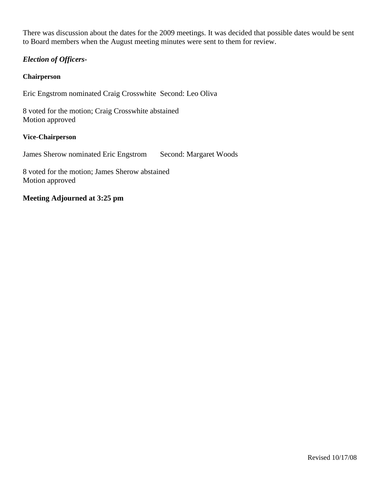There was discussion about the dates for the 2009 meetings. It was decided that possible dates would be sent to Board members when the August meeting minutes were sent to them for review.

## *Election of Officers-*

#### **Chairperson**

Eric Engstrom nominated Craig Crosswhite Second: Leo Oliva

8 voted for the motion; Craig Crosswhite abstained Motion approved

#### **Vice-Chairperson**

James Sherow nominated Eric Engstrom Second: Margaret Woods

8 voted for the motion; James Sherow abstained Motion approved

## **Meeting Adjourned at 3:25 pm**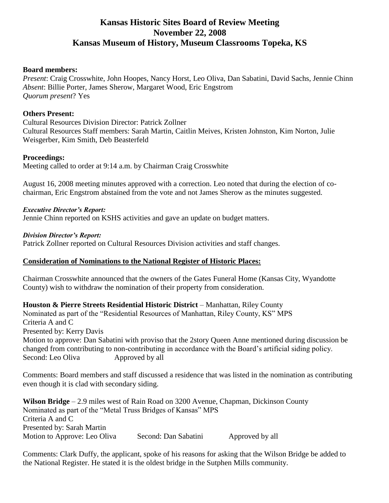# **Kansas Historic Sites Board of Review Meeting November 22, 2008 Kansas Museum of History, Museum Classrooms Topeka, KS**

#### **Board members:**

*Present*: Craig Crosswhite, John Hoopes, Nancy Horst, Leo Oliva, Dan Sabatini, David Sachs, Jennie Chinn *Absent*: Billie Porter, James Sherow, Margaret Wood, Eric Engstrom *Quorum present*? Yes

## **Others Present:**

Cultural Resources Division Director: Patrick Zollner Cultural Resources Staff members: Sarah Martin, Caitlin Meives, Kristen Johnston, Kim Norton, Julie Weisgerber, Kim Smith, Deb Beasterfeld

## **Proceedings:**

Meeting called to order at 9:14 a.m. by Chairman Craig Crosswhite

August 16, 2008 meeting minutes approved with a correction. Leo noted that during the election of cochairman, Eric Engstrom abstained from the vote and not James Sherow as the minutes suggested.

## *Executive Director's Report:*

Jennie Chinn reported on KSHS activities and gave an update on budget matters.

#### *Division Director's Report:*

Patrick Zollner reported on Cultural Resources Division activities and staff changes.

## **Consideration of Nominations to the National Register of Historic Places:**

Chairman Crosswhite announced that the owners of the Gates Funeral Home (Kansas City, Wyandotte County) wish to withdraw the nomination of their property from consideration.

**Houston & Pierre Streets Residential Historic District** – Manhattan, Riley County Nominated as part of the "Residential Resources of Manhattan, Riley County, KS" MPS Criteria A and C Presented by: Kerry Davis Motion to approve: Dan Sabatini with proviso that the 2story Queen Anne mentioned during discussion be changed from contributing to non-contributing in accordance with the Board's artificial siding policy. Second: Leo Oliva Approved by all

Comments: Board members and staff discussed a residence that was listed in the nomination as contributing even though it is clad with secondary siding.

**Wilson Bridge** – 2.9 miles west of Rain Road on 3200 Avenue, Chapman, Dickinson County Nominated as part of the "Metal Truss Bridges of Kansas" MPS Criteria A and C Presented by: Sarah Martin Motion to Approve: Leo Oliva Second: Dan Sabatini Approved by all

Comments: Clark Duffy, the applicant, spoke of his reasons for asking that the Wilson Bridge be added to the National Register. He stated it is the oldest bridge in the Sutphen Mills community.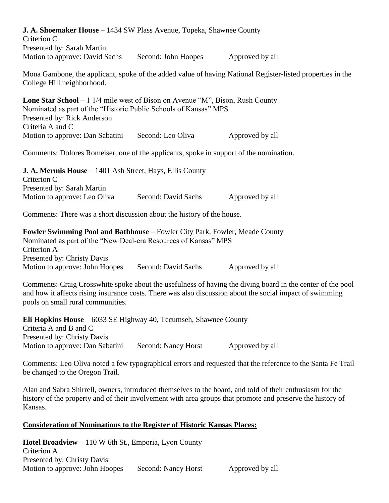| <b>J. A. Shoemaker House</b> – 1434 SW Plass Avenue, Topeka, Shawnee County<br>Criterion C<br>Presented by: Sarah Martin                                                                                                                                    |                     |                 |  |  |
|-------------------------------------------------------------------------------------------------------------------------------------------------------------------------------------------------------------------------------------------------------------|---------------------|-----------------|--|--|
| Motion to approve: David Sachs                                                                                                                                                                                                                              | Second: John Hoopes | Approved by all |  |  |
| Mona Gambone, the applicant, spoke of the added value of having National Register-listed properties in the<br>College Hill neighborhood.                                                                                                                    |                     |                 |  |  |
| <b>Lone Star School</b> $-1$ 1/4 mile west of Bison on Avenue "M", Bison, Rush County<br>Nominated as part of the "Historic Public Schools of Kansas" MPS<br>Presented by: Rick Anderson<br>Criteria A and C                                                |                     |                 |  |  |
| Motion to approve: Dan Sabatini                                                                                                                                                                                                                             | Second: Leo Oliva   | Approved by all |  |  |
| Comments: Dolores Romeiser, one of the applicants, spoke in support of the nomination.                                                                                                                                                                      |                     |                 |  |  |
| <b>J. A. Mermis House</b> – 1401 Ash Street, Hays, Ellis County<br>Criterion C<br>Presented by: Sarah Martin                                                                                                                                                |                     |                 |  |  |
| Motion to approve: Leo Oliva                                                                                                                                                                                                                                | Second: David Sachs | Approved by all |  |  |
| Comments: There was a short discussion about the history of the house.                                                                                                                                                                                      |                     |                 |  |  |
| Fowler Swimming Pool and Bathhouse - Fowler City Park, Fowler, Meade County<br>Nominated as part of the "New Deal-era Resources of Kansas" MPS<br>Criterion A<br>Presented by: Christy Davis                                                                |                     |                 |  |  |
| Motion to approve: John Hoopes                                                                                                                                                                                                                              | Second: David Sachs | Approved by all |  |  |
| Comments: Craig Crosswhite spoke about the usefulness of having the diving board in the center of the pool<br>and how it affects rising insurance costs. There was also discussion about the social impact of swimming<br>pools on small rural communities. |                     |                 |  |  |
| <b>Eli Hopkins House</b> $-6033$ SE Highway 40, Tecumseh, Shawnee County<br>Criteria A and B and C<br>Presented by: Christy Davis                                                                                                                           |                     |                 |  |  |
| Motion to approve: Dan Sabatini                                                                                                                                                                                                                             | Second: Nancy Horst | Approved by all |  |  |
| Comments: Leo Oliva noted a few typographical errors and requested that the reference to the Santa Fe Trail<br>be changed to the Oregon Trail.                                                                                                              |                     |                 |  |  |

Alan and Sabra Shirrell, owners, introduced themselves to the board, and told of their enthusiasm for the history of the property and of their involvement with area groups that promote and preserve the history of Kansas.

## **Consideration of Nominations to the Register of Historic Kansas Places:**

**Hotel Broadview** – 110 W 6th St., Emporia, Lyon County Criterion A Presented by: Christy Davis Motion to approve: John Hoopes Second: Nancy Horst Approved by all